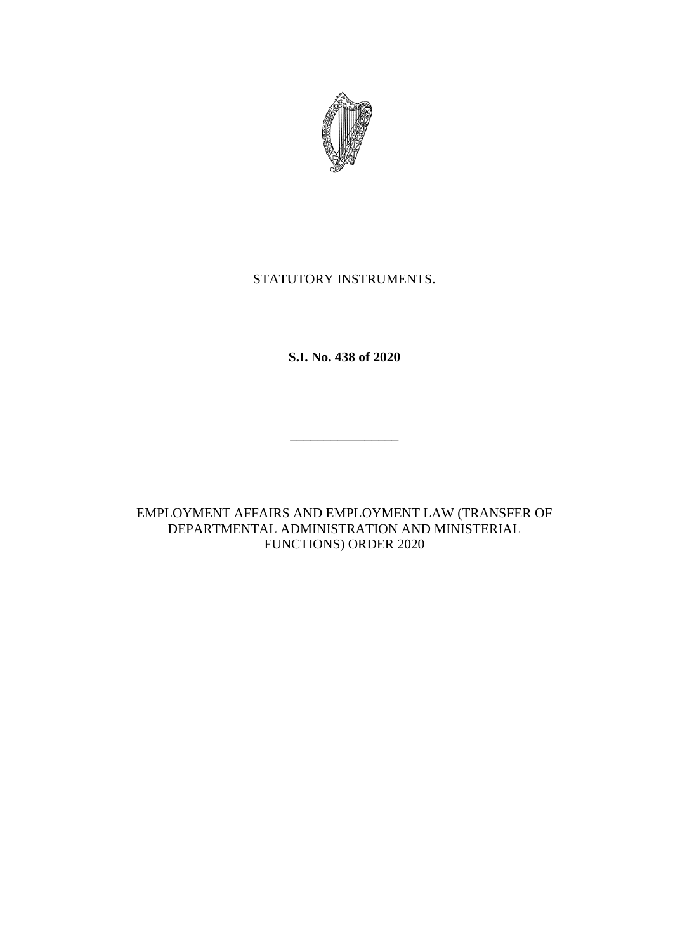

## STATUTORY INSTRUMENTS.

**S.I. No. 438 of 2020**

 $\overline{\phantom{a}}$  , which is the contract of the contract of the contract of the contract of the contract of the contract of the contract of the contract of the contract of the contract of the contract of the contract of the co

EMPLOYMENT AFFAIRS AND EMPLOYMENT LAW (TRANSFER OF DEPARTMENTAL ADMINISTRATION AND MINISTERIAL FUNCTIONS) ORDER 2020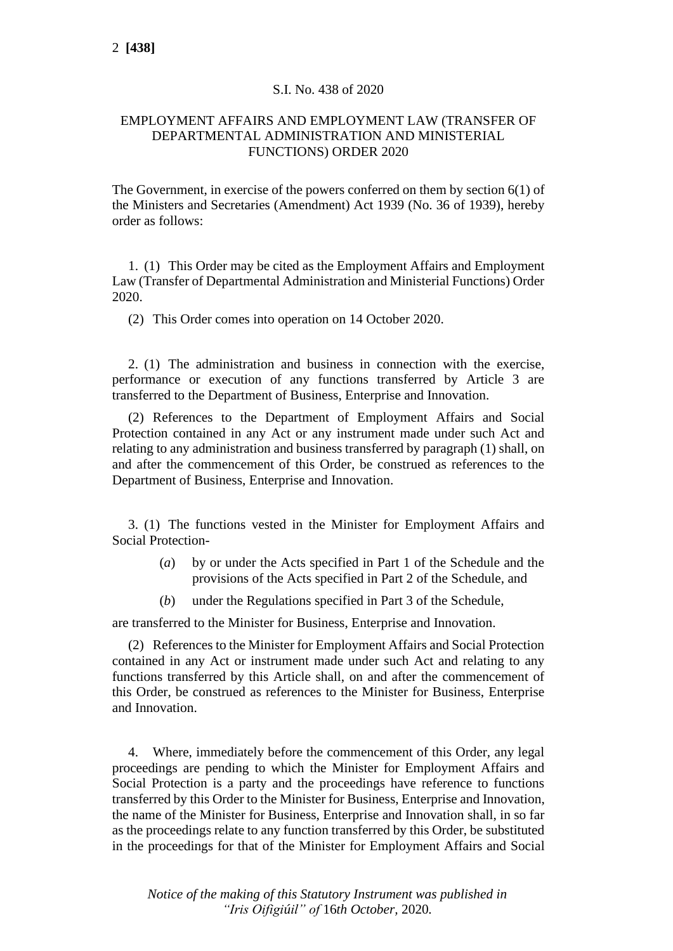## S.I. No. 438 of 2020

## EMPLOYMENT AFFAIRS AND EMPLOYMENT LAW (TRANSFER OF DEPARTMENTAL ADMINISTRATION AND MINISTERIAL FUNCTIONS) ORDER 2020

The Government, in exercise of the powers conferred on them by section 6(1) of the Ministers and Secretaries (Amendment) Act 1939 (No. 36 of 1939), hereby order as follows:

1. (1) This Order may be cited as the Employment Affairs and Employment Law (Transfer of Departmental Administration and Ministerial Functions) Order 2020.

(2) This Order comes into operation on 14 October 2020.

2. (1) The administration and business in connection with the exercise, performance or execution of any functions transferred by Article 3 are transferred to the Department of Business, Enterprise and Innovation.

(2) References to the Department of Employment Affairs and Social Protection contained in any Act or any instrument made under such Act and relating to any administration and business transferred by paragraph (1) shall, on and after the commencement of this Order, be construed as references to the Department of Business, Enterprise and Innovation.

3. (1) The functions vested in the Minister for Employment Affairs and Social Protection-

- (*a*) by or under the Acts specified in Part 1 of the Schedule and the provisions of the Acts specified in Part 2 of the Schedule, and
- (*b*) under the Regulations specified in Part 3 of the Schedule,

are transferred to the Minister for Business, Enterprise and Innovation.

(2) References to the Minister for Employment Affairs and Social Protection contained in any Act or instrument made under such Act and relating to any functions transferred by this Article shall, on and after the commencement of this Order, be construed as references to the Minister for Business, Enterprise and Innovation.

4. Where, immediately before the commencement of this Order, any legal proceedings are pending to which the Minister for Employment Affairs and Social Protection is a party and the proceedings have reference to functions transferred by this Order to the Minister for Business, Enterprise and Innovation, the name of the Minister for Business, Enterprise and Innovation shall, in so far as the proceedings relate to any function transferred by this Order, be substituted in the proceedings for that of the Minister for Employment Affairs and Social

*Notice of the making of this Statutory Instrument was published in "Iris Oifigiúil" of* 16*th October,* 2020*.*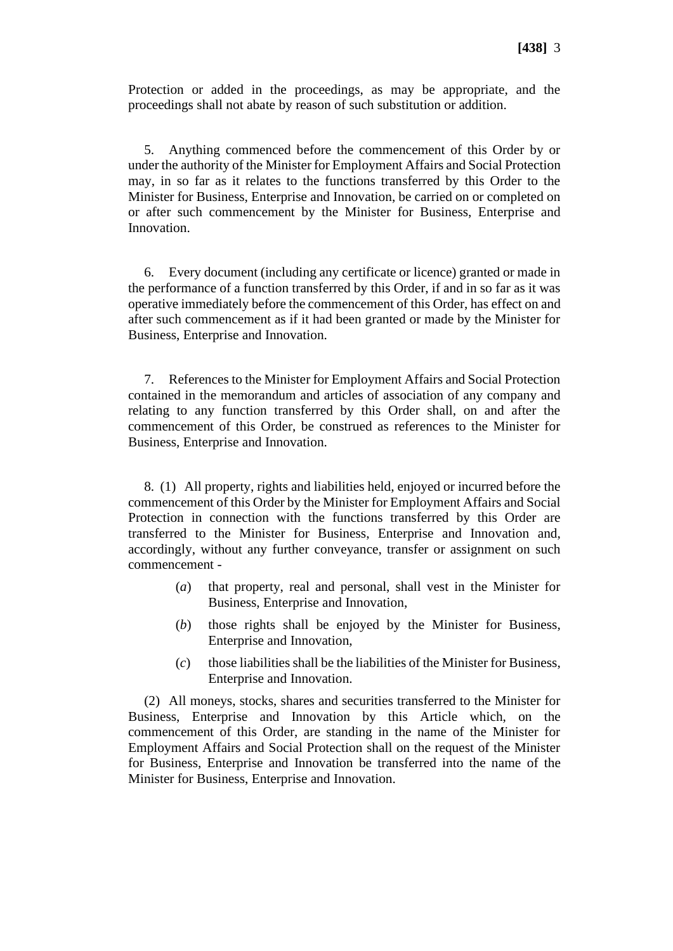Protection or added in the proceedings, as may be appropriate, and the proceedings shall not abate by reason of such substitution or addition.

5. Anything commenced before the commencement of this Order by or under the authority of the Minister for Employment Affairs and Social Protection may, in so far as it relates to the functions transferred by this Order to the Minister for Business, Enterprise and Innovation, be carried on or completed on or after such commencement by the Minister for Business, Enterprise and Innovation.

6. Every document (including any certificate or licence) granted or made in the performance of a function transferred by this Order, if and in so far as it was operative immediately before the commencement of this Order, has effect on and after such commencement as if it had been granted or made by the Minister for Business, Enterprise and Innovation.

7. References to the Minister for Employment Affairs and Social Protection contained in the memorandum and articles of association of any company and relating to any function transferred by this Order shall, on and after the commencement of this Order, be construed as references to the Minister for Business, Enterprise and Innovation.

8. (1) All property, rights and liabilities held, enjoyed or incurred before the commencement of this Order by the Minister for Employment Affairs and Social Protection in connection with the functions transferred by this Order are transferred to the Minister for Business, Enterprise and Innovation and, accordingly, without any further conveyance, transfer or assignment on such commencement -

- (*a*) that property, real and personal, shall vest in the Minister for Business, Enterprise and Innovation,
- (*b*) those rights shall be enjoyed by the Minister for Business, Enterprise and Innovation,
- (*c*) those liabilities shall be the liabilities of the Minister for Business, Enterprise and Innovation.

(2) All moneys, stocks, shares and securities transferred to the Minister for Business, Enterprise and Innovation by this Article which, on the commencement of this Order, are standing in the name of the Minister for Employment Affairs and Social Protection shall on the request of the Minister for Business, Enterprise and Innovation be transferred into the name of the Minister for Business, Enterprise and Innovation.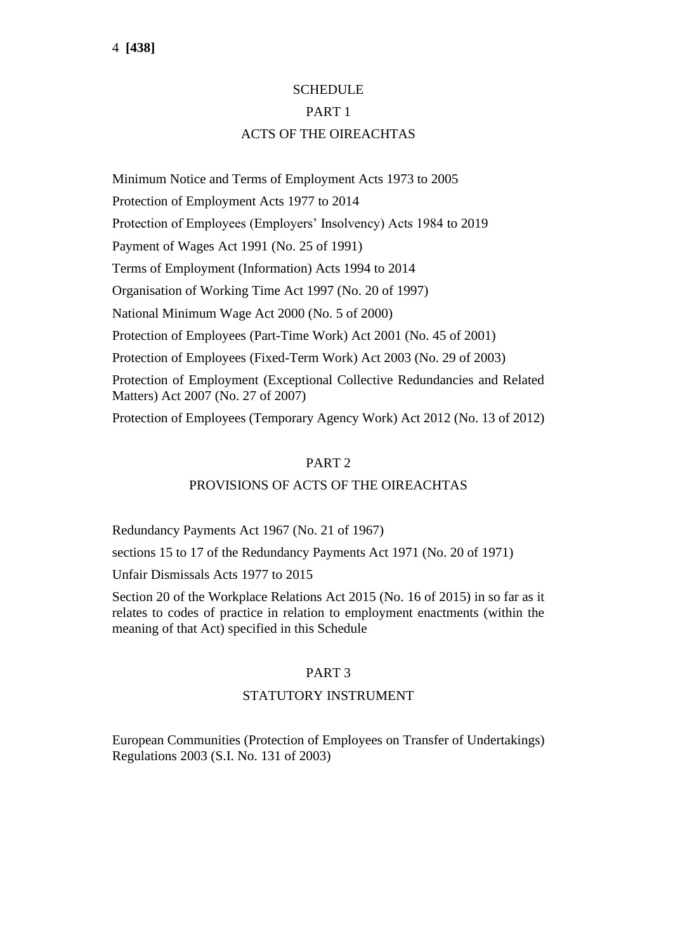# **SCHEDULE** PART 1 ACTS OF THE OIREACHTAS

Minimum Notice and Terms of Employment Acts 1973 to 2005 Protection of Employment Acts 1977 to 2014 Protection of Employees (Employers' Insolvency) Acts 1984 to 2019 Payment of Wages Act 1991 (No. 25 of 1991) Terms of Employment (Information) Acts 1994 to 2014 Organisation of Working Time Act 1997 (No. 20 of 1997) National Minimum Wage Act 2000 (No. 5 of 2000) Protection of Employees (Part-Time Work) Act 2001 (No. 45 of 2001) Protection of Employees (Fixed-Term Work) Act 2003 (No. 29 of 2003) Protection of Employment (Exceptional Collective Redundancies and Related Matters) Act 2007 (No. 27 of 2007) Protection of Employees (Temporary Agency Work) Act 2012 (No. 13 of 2012)

## PART 2

## PROVISIONS OF ACTS OF THE OIREACHTAS

Redundancy Payments Act 1967 (No. 21 of 1967)

sections 15 to 17 of the Redundancy Payments Act 1971 (No. 20 of 1971)

Unfair Dismissals Acts 1977 to 2015

Section 20 of the Workplace Relations Act 2015 (No. 16 of 2015) in so far as it relates to codes of practice in relation to employment enactments (within the meaning of that Act) specified in this Schedule

## PART 3

## STATUTORY INSTRUMENT

European Communities (Protection of Employees on Transfer of Undertakings) Regulations 2003 (S.I. No. 131 of 2003)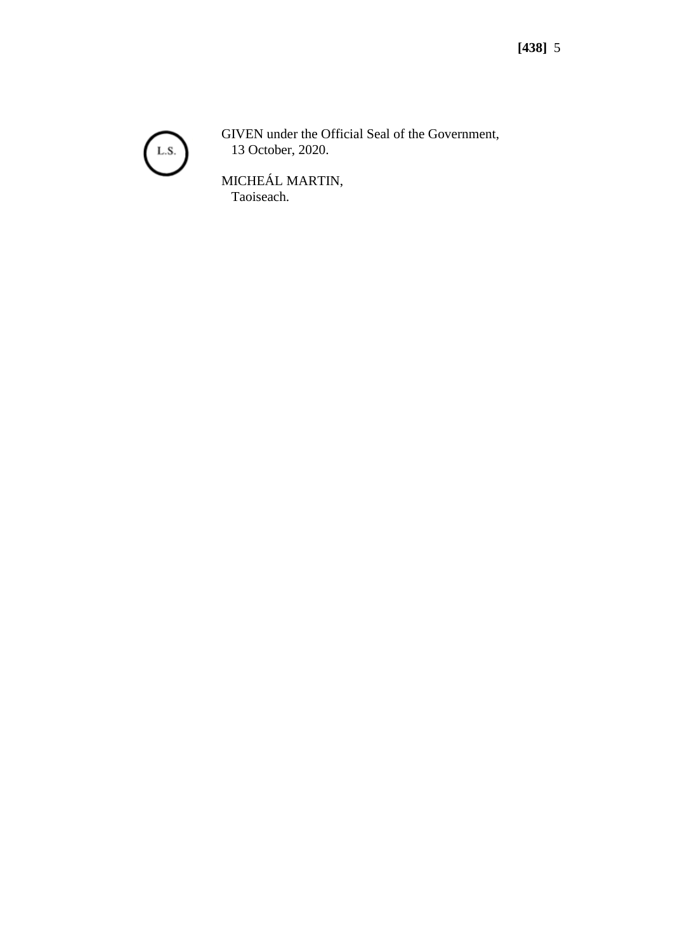

GIVEN under the Official Seal of the Government, 13 October, 2020.

MICHEÁL MARTIN, Taoiseach.